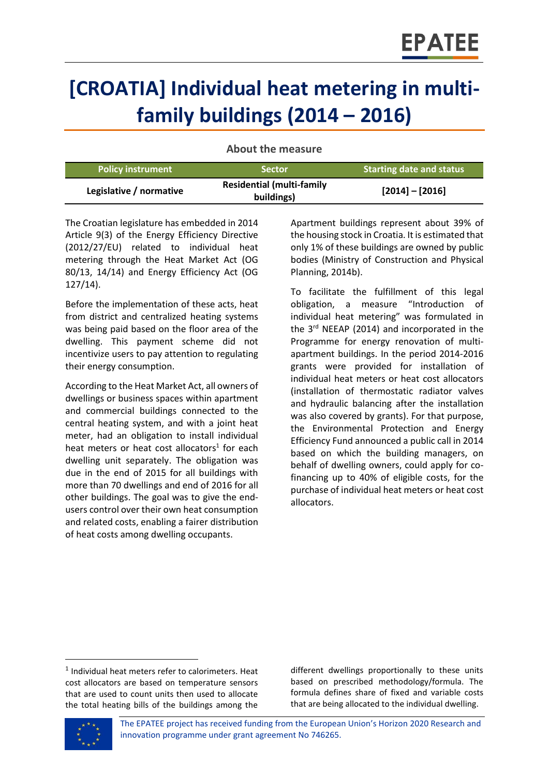# **[CROATIA] Individual heat metering in multifamily buildings (2014 – 2016)**

| <b>Policy instrument</b> | <b>Sector</b>                                  | <b>Starting date and status</b> |
|--------------------------|------------------------------------------------|---------------------------------|
| Legislative / normative  | <b>Residential (multi-family</b><br>buildings) | $[2014] - [2016]$               |

**About the measure**

The Croatian legislature has embedded in 2014 Article 9(3) of the Energy Efficiency Directive (2012/27/EU) related to individual heat metering through the Heat Market Act (OG 80/13, 14/14) and Energy Efficiency Act (OG 127/14).

Before the implementation of these acts, heat from district and centralized heating systems was being paid based on the floor area of the dwelling. This payment scheme did not incentivize users to pay attention to regulating their energy consumption.

According to the Heat Market Act, all owners of dwellings or business spaces within apartment and commercial buildings connected to the central heating system, and with a joint heat meter, had an obligation to install individual heat meters or heat cost allocators<sup>1</sup> for each dwelling unit separately. The obligation was due in the end of 2015 for all buildings with more than 70 dwellings and end of 2016 for all other buildings. The goal was to give the endusers control over their own heat consumption and related costs, enabling a fairer distribution of heat costs among dwelling occupants.

Apartment buildings represent about 39% of the housing stock in Croatia. It is estimated that only 1% of these buildings are owned by public bodies (Ministry of Construction and Physical Planning, 2014b).

To facilitate the fulfillment of this legal obligation, a measure "Introduction of individual heat metering" was formulated in the 3<sup>rd</sup> NEEAP (2014) and incorporated in the Programme for energy renovation of multiapartment buildings. In the period 2014-2016 grants were provided for installation of individual heat meters or heat cost allocators (installation of thermostatic radiator valves and hydraulic balancing after the installation was also covered by grants). For that purpose, the Environmental Protection and Energy Efficiency Fund announced a public call in 2014 based on which the building managers, on behalf of dwelling owners, could apply for cofinancing up to 40% of eligible costs, for the purchase of individual heat meters or heat cost allocators.

different dwellings proportionally to these units based on prescribed methodology/formula. The formula defines share of fixed and variable costs that are being allocated to the individual dwelling.



 $\overline{\phantom{a}}$ 

 $<sup>1</sup>$  Individual heat meters refer to calorimeters. Heat</sup> cost allocators are based on temperature sensors that are used to count units then used to allocate the total heating bills of the buildings among the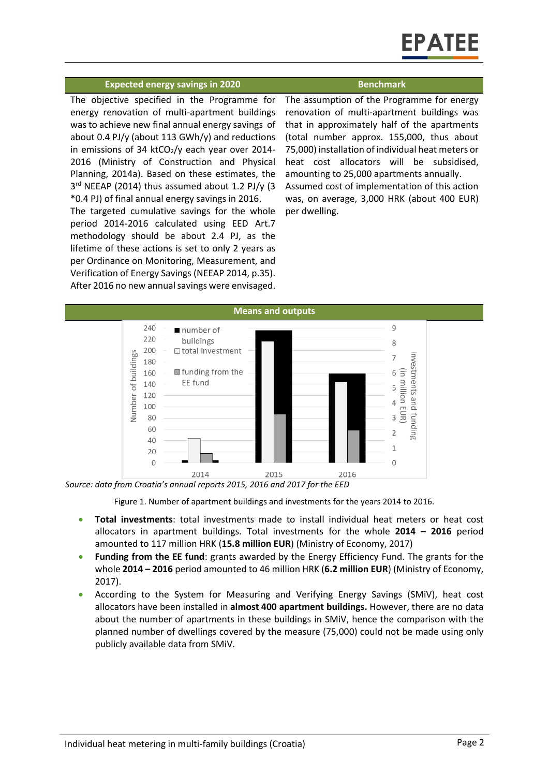#### **Expected energy savings in 2020 Benchmark**

The objective specified in the Programme for energy renovation of multi-apartment buildings was to achieve new final annual energy savings of about 0.4 PJ/y (about 113 GWh/y) and reductions in emissions of 34 ktCO $2$ /y each year over 2014-2016 (Ministry of Construction and Physical Planning, 2014a). Based on these estimates, the 3<sup>rd</sup> NEEAP (2014) thus assumed about 1.2 PJ/y (3 \*0.4 PJ) of final annual energy savings in 2016.

The targeted cumulative savings for the whole period 2014-2016 calculated using EED Art.7 methodology should be about 2.4 PJ, as the lifetime of these actions is set to only 2 years as per Ordinance on Monitoring, Measurement, and Verification of Energy Savings (NEEAP 2014, p.35). After 2016 no new annual savings were envisaged.

The assumption of the Programme for energy renovation of multi-apartment buildings was that in approximately half of the apartments (total number approx. 155,000, thus about 75,000) installation of individual heat meters or heat cost allocators will be subsidised, amounting to 25,000 apartments annually. Assumed cost of implementation of this action was, on average, 3,000 HRK (about 400 EUR) per dwelling.



Figure 1. Number of apartment buildings and investments for the years 2014 to 2016.

- **Total investments**: total investments made to install individual heat meters or heat cost allocators in apartment buildings. Total investments for the whole **2014 – 2016** period amounted to 117 million HRK (**15.8 million EUR**) (Ministry of Economy, 2017)
- **Funding from the EE fund**: grants awarded by the Energy Efficiency Fund. The grants for the whole **2014 – 2016** period amounted to 46 million HRK (**6.2 million EUR**) (Ministry of Economy, 2017).
- According to the System for Measuring and Verifying Energy Savings (SMiV), heat cost allocators have been installed in **almost 400 apartment buildings.** However, there are no data about the number of apartments in these buildings in SMiV, hence the comparison with the planned number of dwellings covered by the measure (75,000) could not be made using only publicly available data from SMiV.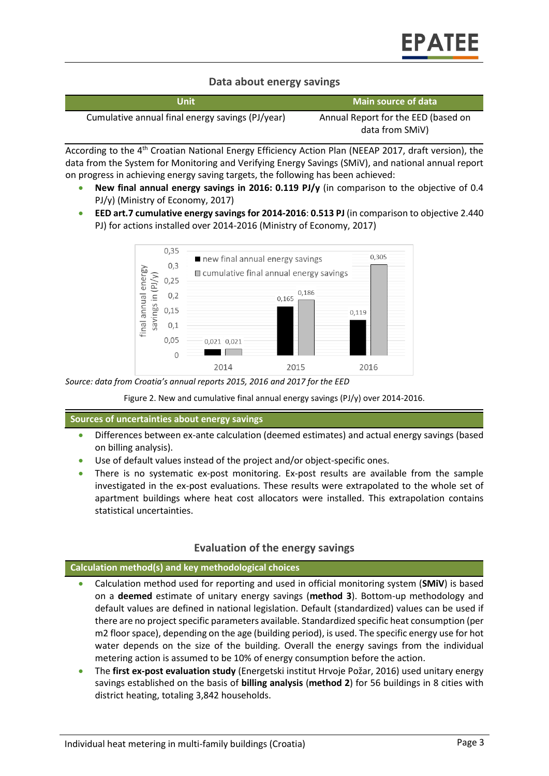# **Data about energy savings**

| Unit                                             | Main source of data                                    |
|--------------------------------------------------|--------------------------------------------------------|
| Cumulative annual final energy savings (PJ/year) | Annual Report for the EED (based on<br>data from SMIV) |

According to the 4<sup>th</sup> Croatian National Energy Efficiency Action Plan (NEEAP 2017, draft version), the data from the System for Monitoring and Verifying Energy Savings (SMiV), and national annual report on progress in achieving energy saving targets, the following has been achieved:

- **New final annual energy savings in 2016: 0.119 PJ/y** (in comparison to the objective of 0.4 PJ/y) (Ministry of Economy, 2017)
- **EED art.7 cumulative energy savings for 2014-2016**: **0.513 PJ** (in comparison to objective 2.440 PJ) for actions installed over 2014-2016 (Ministry of Economy, 2017)



*Source: data from Croatia's annual reports 2015, 2016 and 2017 for the EED*

Figure 2. New and cumulative final annual energy savings (PJ/y) over 2014-2016.

**Sources of uncertainties about energy savings**

- Differences between ex-ante calculation (deemed estimates) and actual energy savings (based on billing analysis).
- Use of default values instead of the project and/or object-specific ones.
- There is no systematic ex-post monitoring. Ex-post results are available from the sample investigated in the ex-post evaluations. These results were extrapolated to the whole set of apartment buildings where heat cost allocators were installed. This extrapolation contains statistical uncertainties.

# **Evaluation of the energy savings**

#### **Calculation method(s) and key methodological choices**

- Calculation method used for reporting and used in official monitoring system (**SMiV**) is based on a **deemed** estimate of unitary energy savings (**method 3**). Bottom-up methodology and default values are defined in national legislation. Default (standardized) values can be used if there are no project specific parameters available. Standardized specific heat consumption (per m2 floor space), depending on the age (building period), is used. The specific energy use for hot water depends on the size of the building. Overall the energy savings from the individual metering action is assumed to be 10% of energy consumption before the action.
- The **first ex-post evaluation study** (Energetski institut Hrvoje Požar, 2016) used unitary energy savings established on the basis of **billing analysis** (**method 2**) for 56 buildings in 8 cities with district heating, totaling 3,842 households.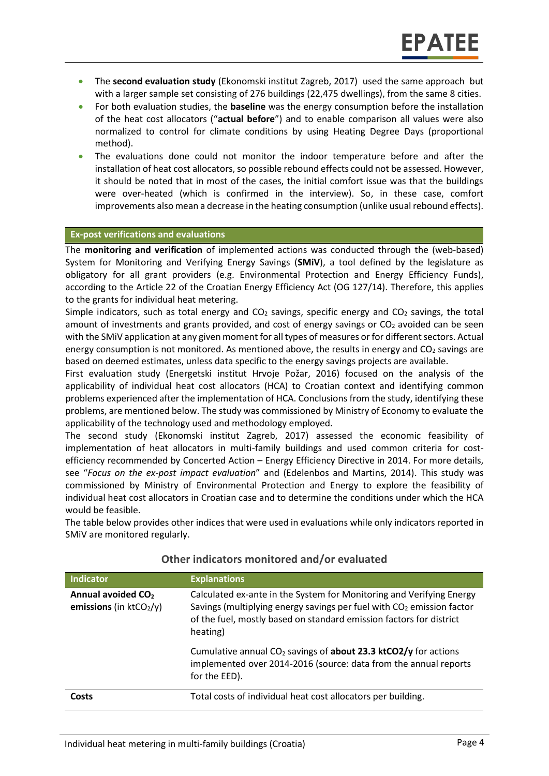- The **second evaluation study** (Ekonomski institut Zagreb, 2017) used the same approach but with a larger sample set consisting of 276 buildings (22,475 dwellings), from the same 8 cities.
- For both evaluation studies, the **baseline** was the energy consumption before the installation of the heat cost allocators ("**actual before**") and to enable comparison all values were also normalized to control for climate conditions by using Heating Degree Days (proportional method).
- The evaluations done could not monitor the indoor temperature before and after the installation of heat cost allocators, so possible rebound effects could not be assessed. However, it should be noted that in most of the cases, the initial comfort issue was that the buildings were over-heated (which is confirmed in the interview). So, in these case, comfort improvements also mean a decrease in the heating consumption (unlike usual rebound effects).

#### **Ex-post verifications and evaluations**

The **monitoring and verification** of implemented actions was conducted through the (web-based) System for Monitoring and Verifying Energy Savings (**SMiV**), a tool defined by the legislature as obligatory for all grant providers (e.g. Environmental Protection and Energy Efficiency Funds), according to the Article 22 of the Croatian Energy Efficiency Act (OG 127/14). Therefore, this applies to the grants for individual heat metering.

Simple indicators, such as total energy and  $CO<sub>2</sub>$  savings, specific energy and  $CO<sub>2</sub>$  savings, the total amount of investments and grants provided, and cost of energy savings or  $CO<sub>2</sub>$  avoided can be seen with the SMiV application at any given moment for all types of measures or for different sectors. Actual energy consumption is not monitored. As mentioned above, the results in energy and  $CO<sub>2</sub>$  savings are based on deemed estimates, unless data specific to the energy savings projects are available.

First evaluation study (Energetski institut Hrvoje Požar, 2016) focused on the analysis of the applicability of individual heat cost allocators (HCA) to Croatian context and identifying common problems experienced after the implementation of HCA. Conclusions from the study, identifying these problems, are mentioned below. The study was commissioned by Ministry of Economy to evaluate the applicability of the technology used and methodology employed.

The second study (Ekonomski institut Zagreb, 2017) assessed the economic feasibility of implementation of heat allocators in multi-family buildings and used common criteria for costefficiency recommended by Concerted Action – Energy Efficiency Directive in 2014. For more details, see "*Focus on the ex-post impact evaluation*" and (Edelenbos and Martins, 2014). This study was commissioned by Ministry of Environmental Protection and Energy to explore the feasibility of individual heat cost allocators in Croatian case and to determine the conditions under which the HCA would be feasible.

The table below provides other indices that were used in evaluations while only indicators reported in SMiV are monitored regularly.

| <b>Indicator</b>                                            | <b>Explanations</b>                                                                                                                                                                                                                          |
|-------------------------------------------------------------|----------------------------------------------------------------------------------------------------------------------------------------------------------------------------------------------------------------------------------------------|
| Annual avoided CO <sub>2</sub><br>emissions (in $ktCO2/y$ ) | Calculated ex-ante in the System for Monitoring and Verifying Energy<br>Savings (multiplying energy savings per fuel with CO <sub>2</sub> emission factor<br>of the fuel, mostly based on standard emission factors for district<br>heating) |
|                                                             | Cumulative annual $CO2$ savings of <b>about 23.3 ktCO2/y</b> for actions<br>implemented over 2014-2016 (source: data from the annual reports<br>for the EED).                                                                                |
| Costs                                                       | Total costs of individual heat cost allocators per building.                                                                                                                                                                                 |

# **Other indicators monitored and/or evaluated**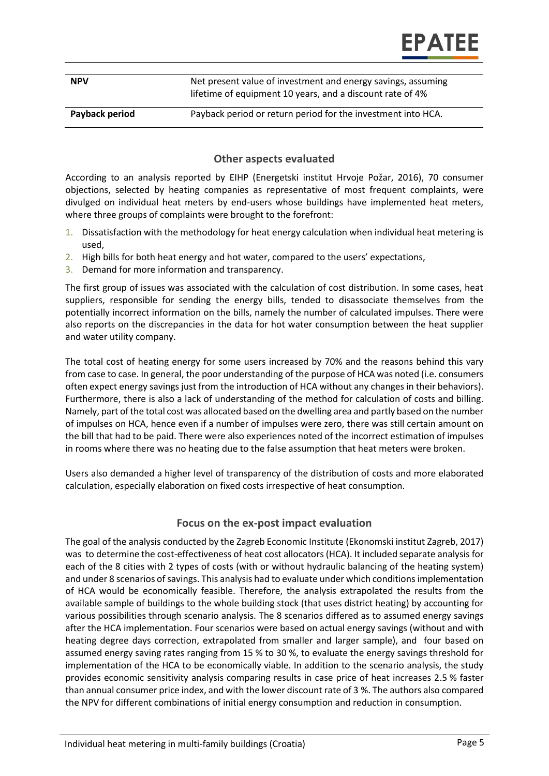| <b>NPV</b> | Net present value of investment and energy savings, assuming |
|------------|--------------------------------------------------------------|
|            | lifetime of equipment 10 years, and a discount rate of 4%    |

#### **Payback period** Payback period or return period for the investment into HCA.

#### **Other aspects evaluated**

According to an analysis reported by EIHP (Energetski institut Hrvoje Požar, 2016), 70 consumer objections, selected by heating companies as representative of most frequent complaints, were divulged on individual heat meters by end-users whose buildings have implemented heat meters, where three groups of complaints were brought to the forefront:

- 1. Dissatisfaction with the methodology for heat energy calculation when individual heat metering is used,
- 2. High bills for both heat energy and hot water, compared to the users' expectations,
- 3. Demand for more information and transparency.

The first group of issues was associated with the calculation of cost distribution. In some cases, heat suppliers, responsible for sending the energy bills, tended to disassociate themselves from the potentially incorrect information on the bills, namely the number of calculated impulses. There were also reports on the discrepancies in the data for hot water consumption between the heat supplier and water utility company.

The total cost of heating energy for some users increased by 70% and the reasons behind this vary from case to case. In general, the poor understanding of the purpose of HCA was noted (i.e. consumers often expect energy savings just from the introduction of HCA without any changes in their behaviors). Furthermore, there is also a lack of understanding of the method for calculation of costs and billing. Namely, part of the total cost was allocated based on the dwelling area and partly based on the number of impulses on HCA, hence even if a number of impulses were zero, there was still certain amount on the bill that had to be paid. There were also experiences noted of the incorrect estimation of impulses in rooms where there was no heating due to the false assumption that heat meters were broken.

Users also demanded a higher level of transparency of the distribution of costs and more elaborated calculation, especially elaboration on fixed costs irrespective of heat consumption.

# **Focus on the ex-post impact evaluation**

The goal of the analysis conducted by the Zagreb Economic Institute (Ekonomski institut Zagreb, 2017) was to determine the cost-effectiveness of heat cost allocators (HCA). It included separate analysis for each of the 8 cities with 2 types of costs (with or without hydraulic balancing of the heating system) and under 8 scenarios of savings. This analysis had to evaluate under which conditions implementation of HCA would be economically feasible. Therefore, the analysis extrapolated the results from the available sample of buildings to the whole building stock (that uses district heating) by accounting for various possibilities through scenario analysis. The 8 scenarios differed as to assumed energy savings after the HCA implementation. Four scenarios were based on actual energy savings (without and with heating degree days correction, extrapolated from smaller and larger sample), and four based on assumed energy saving rates ranging from 15 % to 30 %, to evaluate the energy savings threshold for implementation of the HCA to be economically viable. In addition to the scenario analysis, the study provides economic sensitivity analysis comparing results in case price of heat increases 2.5 % faster than annual consumer price index, and with the lower discount rate of 3 %. The authors also compared the NPV for different combinations of initial energy consumption and reduction in consumption.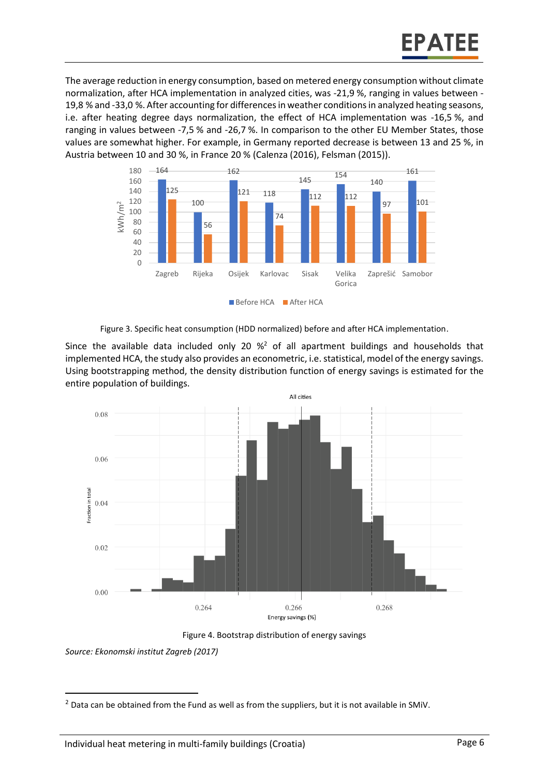The average reduction in energy consumption, based on metered energy consumption without climate normalization, after HCA implementation in analyzed cities, was -21,9 %, ranging in values between - 19,8 % and -33,0 %. After accounting for differences in weather conditions in analyzed heating seasons, i.e. after heating degree days normalization, the effect of HCA implementation was -16,5 %, and ranging in values between -7,5 % and -26,7 %. In comparison to the other EU Member States, those values are somewhat higher. For example, in Germany reported decrease is between 13 and 25 %, in Austria between 10 and 30 %, in France 20 % (Calenza (2016), Felsman (2015)).



Figure 3. Specific heat consumption (HDD normalized) before and after HCA implementation.

Since the available data included only 20  $\%^2$  of all apartment buildings and households that implemented HCA, the study also provides an econometric, i.e. statistical, model of the energy savings. Using bootstrapping method, the density distribution function of energy savings is estimated for the entire population of buildings.





*Source: Ekonomski institut Zagreb (2017)*

 $\overline{a}$ 

 $2$  Data can be obtained from the Fund as well as from the suppliers, but it is not available in SMiV.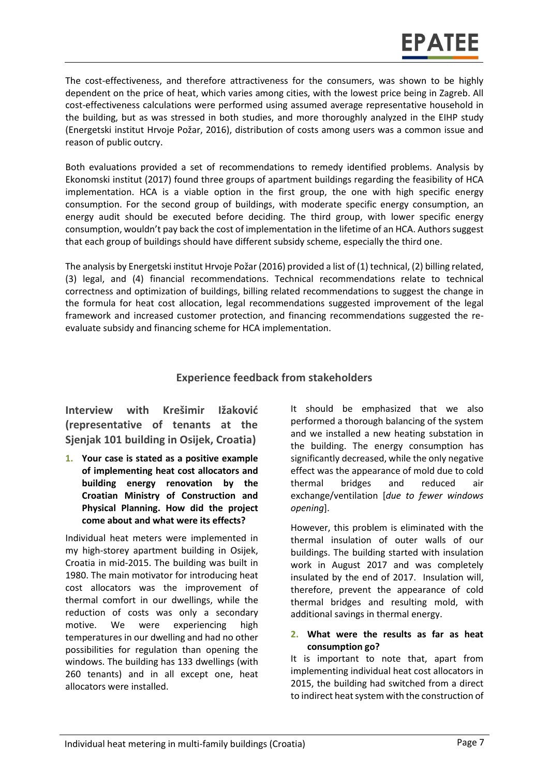The cost-effectiveness, and therefore attractiveness for the consumers, was shown to be highly dependent on the price of heat, which varies among cities, with the lowest price being in Zagreb. All cost-effectiveness calculations were performed using assumed average representative household in the building, but as was stressed in both studies, and more thoroughly analyzed in the EIHP study (Energetski institut Hrvoje Požar, 2016), distribution of costs among users was a common issue and reason of public outcry.

Both evaluations provided a set of recommendations to remedy identified problems. Analysis by Ekonomski institut (2017) found three groups of apartment buildings regarding the feasibility of HCA implementation. HCA is a viable option in the first group, the one with high specific energy consumption. For the second group of buildings, with moderate specific energy consumption, an energy audit should be executed before deciding. The third group, with lower specific energy consumption, wouldn't pay back the cost of implementation in the lifetime of an HCA. Authors suggest that each group of buildings should have different subsidy scheme, especially the third one.

The analysis by Energetski institut Hrvoje Požar (2016) provided a list of (1) technical, (2) billing related, (3) legal, and (4) financial recommendations. Technical recommendations relate to technical correctness and optimization of buildings, billing related recommendations to suggest the change in the formula for heat cost allocation, legal recommendations suggested improvement of the legal framework and increased customer protection, and financing recommendations suggested the reevaluate subsidy and financing scheme for HCA implementation.

# **Experience feedback from stakeholders**

**Interview with Krešimir Ižaković (representative of tenants at the Sjenjak 101 building in Osijek, Croatia)**

**1. Your case is stated as a positive example of implementing heat cost allocators and building energy renovation by the Croatian Ministry of Construction and Physical Planning. How did the project come about and what were its effects?** 

Individual heat meters were implemented in my high-storey apartment building in Osijek, Croatia in mid-2015. The building was built in 1980. The main motivator for introducing heat cost allocators was the improvement of thermal comfort in our dwellings, while the reduction of costs was only a secondary motive. We were experiencing high temperatures in our dwelling and had no other possibilities for regulation than opening the windows. The building has 133 dwellings (with 260 tenants) and in all except one, heat allocators were installed.

It should be emphasized that we also performed a thorough balancing of the system and we installed a new heating substation in the building. The energy consumption has significantly decreased, while the only negative effect was the appearance of mold due to cold thermal bridges and reduced air exchange/ventilation [*due to fewer windows opening*].

However, this problem is eliminated with the thermal insulation of outer walls of our buildings. The building started with insulation work in August 2017 and was completely insulated by the end of 2017. Insulation will, therefore, prevent the appearance of cold thermal bridges and resulting mold, with additional savings in thermal energy.

#### **2. What were the results as far as heat consumption go?**

It is important to note that, apart from implementing individual heat cost allocators in 2015, the building had switched from a direct to indirect heat system with the construction of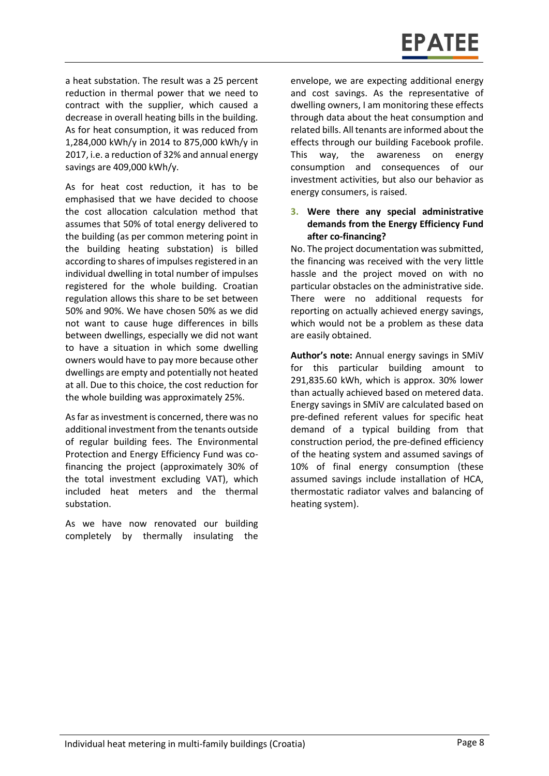a heat substation. The result was a 25 percent reduction in thermal power that we need to contract with the supplier, which caused a decrease in overall heating bills in the building. As for heat consumption, it was reduced from 1,284,000 kWh/y in 2014 to 875,000 kWh/y in 2017, i.e. a reduction of 32% and annual energy savings are 409,000 kWh/y.

As for heat cost reduction, it has to be emphasised that we have decided to choose the cost allocation calculation method that assumes that 50% of total energy delivered to the building (as per common metering point in the building heating substation) is billed according to shares of impulses registered in an individual dwelling in total number of impulses registered for the whole building. Croatian regulation allows this share to be set between 50% and 90%. We have chosen 50% as we did not want to cause huge differences in bills between dwellings, especially we did not want to have a situation in which some dwelling owners would have to pay more because other dwellings are empty and potentially not heated at all. Due to this choice, the cost reduction for the whole building was approximately 25%.

As far as investment is concerned, there was no additional investment from the tenants outside of regular building fees. The Environmental Protection and Energy Efficiency Fund was cofinancing the project (approximately 30% of the total investment excluding VAT), which included heat meters and the thermal substation.

As we have now renovated our building completely by thermally insulating the

envelope, we are expecting additional energy and cost savings. As the representative of dwelling owners, I am monitoring these effects through data about the heat consumption and related bills. All tenants are informed about the effects through our building Facebook profile. This way, the awareness on energy consumption and consequences of our investment activities, but also our behavior as energy consumers, is raised.

#### **3. Were there any special administrative demands from the Energy Efficiency Fund after co-financing?**

No. The project documentation was submitted, the financing was received with the very little hassle and the project moved on with no particular obstacles on the administrative side. There were no additional requests for reporting on actually achieved energy savings, which would not be a problem as these data are easily obtained.

**Author's note:** Annual energy savings in SMiV for this particular building amount to 291,835.60 kWh, which is approx. 30% lower than actually achieved based on metered data. Energy savings in SMiV are calculated based on pre-defined referent values for specific heat demand of a typical building from that construction period, the pre-defined efficiency of the heating system and assumed savings of 10% of final energy consumption (these assumed savings include installation of HCA, thermostatic radiator valves and balancing of heating system).